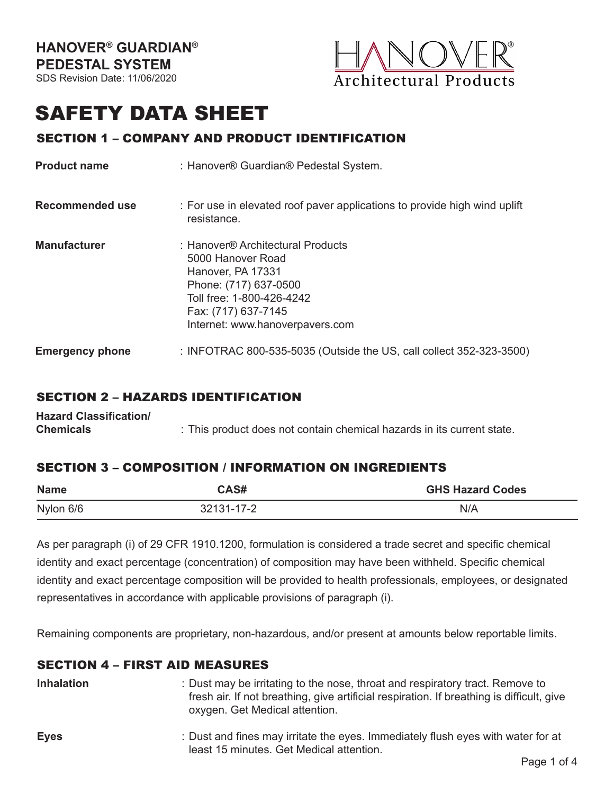

# SAFETY DATA SHEET

# SECTION 1 – COMPANY AND PRODUCT IDENTIFICATION

| <b>Product name</b>    | : Hanover® Guardian® Pedestal System.                                                                                                                                                       |  |
|------------------------|---------------------------------------------------------------------------------------------------------------------------------------------------------------------------------------------|--|
| Recommended use        | : For use in elevated roof paver applications to provide high wind uplift<br>resistance.                                                                                                    |  |
| <b>Manufacturer</b>    | : Hanover® Architectural Products<br>5000 Hanover Road<br>Hanover, PA 17331<br>Phone: (717) 637-0500<br>Toll free: 1-800-426-4242<br>Fax: (717) 637-7145<br>Internet: www.hanoverpavers.com |  |
| <b>Emergency phone</b> | : INFOTRAC 800-535-5035 (Outside the US, call collect 352-323-3500)                                                                                                                         |  |

# SECTION 2 – HAZARDS IDENTIFICATION

| <b>Hazard Classification/</b> |                                                                        |
|-------------------------------|------------------------------------------------------------------------|
| <b>Chemicals</b>              | : This product does not contain chemical hazards in its current state. |

# SECTION 3 – COMPOSITION / INFORMATION ON INGREDIENTS

| <b>Name</b> | CAS#       | <b>GHS Hazard Codes</b> |
|-------------|------------|-------------------------|
| Nylon 6/6   | 32131-17-2 | N/A                     |

As per paragraph (i) of 29 CFR 1910.1200, formulation is considered a trade secret and specific chemical identity and exact percentage (concentration) of composition may have been withheld. Specific chemical identity and exact percentage composition will be provided to health professionals, employees, or designated representatives in accordance with applicable provisions of paragraph (i).

Remaining components are proprietary, non-hazardous, and/or present at amounts below reportable limits.

#### SECTION 4 – FIRST AID MEASURES

**Inhalation**

- : Dust may be irritating to the nose, throat and respiratory tract. Remove to fresh air. If not breathing, give artificial respiration. If breathing is difficult, give oxygen. Get Medical attention.
- **Eyes** : Dust and fines may irritate the eyes. Immediately flush eyes with water for at least 15 minutes. Get Medical attention.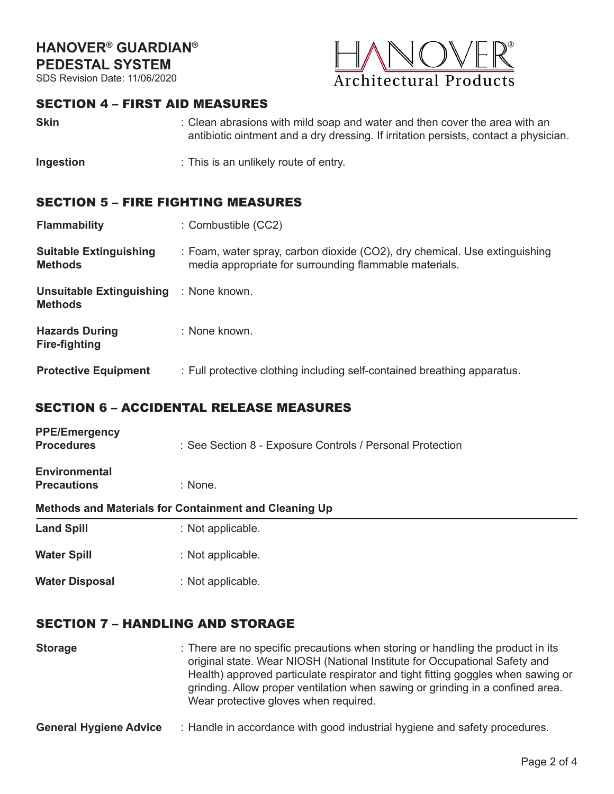# **HANOVER® GUARDIAN® PEDESTAL SYSTEM**

SDS Revision Date: 11/06/2020



#### SECTION 4 – FIRST AID MEASURES

- **Skin** : Clean abrasions with mild soap and water and then cover the area with an antibiotic ointment and a dry dressing. If irritation persists, contact a physician.
- **Ingestion** : This is an unlikely route of entry.

#### SECTION 5 – FIRE FIGHTING MEASURES

| <b>Flammability</b> | : Combustible (CC2) |  |
|---------------------|---------------------|--|
|                     |                     |  |

| <b>Suitable Extinguishing</b> | : Foam, water spray, carbon dioxide (CO2), dry chemical. Use extinguishing |
|-------------------------------|----------------------------------------------------------------------------|
| <b>Methods</b>                | media appropriate for surrounding flammable materials.                     |

**Unsuitable Extinguishing**  : None known. **Methods**

| <b>Hazards During</b> | : None known. |
|-----------------------|---------------|
| <b>Fire-fighting</b>  |               |
|                       |               |

**Protective Equipment** : Full protective clothing including self-contained breathing apparatus.

#### SECTION 6 – ACCIDENTAL RELEASE MEASURES

| <b>PPE/Emergency</b><br><b>Procedures</b>  | : See Section 8 - Exposure Controls / Personal Protection |  |  |
|--------------------------------------------|-----------------------------------------------------------|--|--|
| <b>Environmental</b><br><b>Precautions</b> | $:$ None.                                                 |  |  |
|                                            | Methods and Materials for Containment and Cleaning Up     |  |  |
| <b>Land Spill</b>                          | : Not applicable.                                         |  |  |
| <b>Water Spill</b>                         | : Not applicable.                                         |  |  |

: Not applicable.

#### SECTION 7 – HANDLING AND STORAGE

**Water Disposal**

**Storage** : There are no specific precautions when storing or handling the product in its original state. Wear NIOSH (National Institute for Occupational Safety and Health) approved particulate respirator and tight fitting goggles when sawing or grinding. Allow proper ventilation when sawing or grinding in a confined area. Wear protective gloves when required.

**General Hygiene Advice** : Handle in accordance with good industrial hygiene and safety procedures.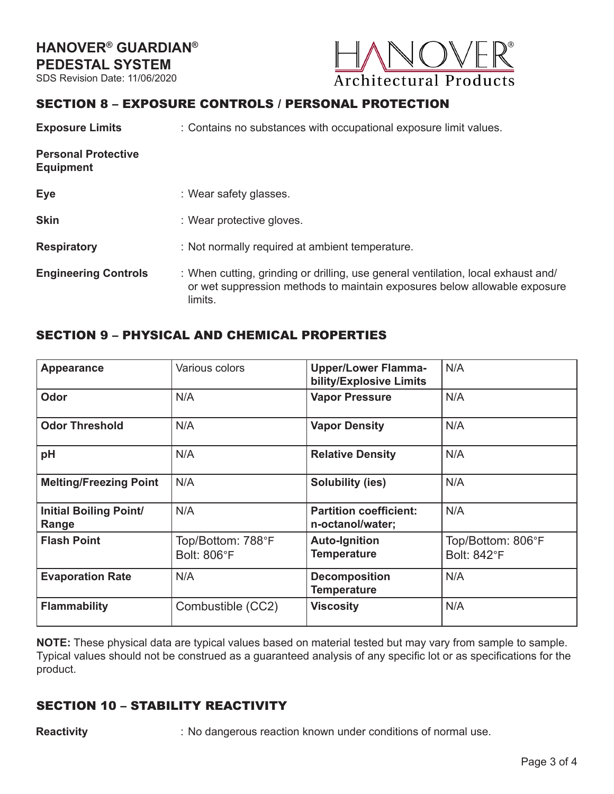

# SECTION 8 – EXPOSURE CONTROLS / PERSONAL PROTECTION

| <b>Exposure Limits</b>                         | : Contains no substances with occupational exposure limit values.                                                                                                         |  |
|------------------------------------------------|---------------------------------------------------------------------------------------------------------------------------------------------------------------------------|--|
| <b>Personal Protective</b><br><b>Equipment</b> |                                                                                                                                                                           |  |
| <b>Eye</b>                                     | : Wear safety glasses.                                                                                                                                                    |  |
| <b>Skin</b>                                    | : Wear protective gloves.                                                                                                                                                 |  |
| <b>Respiratory</b>                             | : Not normally required at ambient temperature.                                                                                                                           |  |
| <b>Engineering Controls</b>                    | : When cutting, grinding or drilling, use general ventilation, local exhaust and/<br>or wet suppression methods to maintain exposures below allowable exposure<br>limits. |  |

# SECTION 9 – PHYSICAL AND CHEMICAL PROPERTIES

| <b>Appearance</b>                      | Various colors                          | <b>Upper/Lower Flamma-</b><br>bility/Explosive Limits | N/A                                     |
|----------------------------------------|-----------------------------------------|-------------------------------------------------------|-----------------------------------------|
| Odor                                   | N/A                                     | <b>Vapor Pressure</b>                                 | N/A                                     |
| <b>Odor Threshold</b>                  | N/A                                     | <b>Vapor Density</b>                                  | N/A                                     |
| pH                                     | N/A                                     | <b>Relative Density</b>                               | N/A                                     |
| <b>Melting/Freezing Point</b>          | N/A                                     | <b>Solubility (ies)</b>                               | N/A                                     |
| <b>Initial Boiling Point/</b><br>Range | N/A                                     | <b>Partition coefficient:</b><br>n-octanol/water;     | N/A                                     |
| <b>Flash Point</b>                     | Top/Bottom: 788°F<br><b>Bolt: 806°F</b> | <b>Auto-Ignition</b><br><b>Temperature</b>            | Top/Bottom: 806°F<br><b>Bolt: 842°F</b> |
| <b>Evaporation Rate</b>                | N/A                                     | <b>Decomposition</b><br><b>Temperature</b>            | N/A                                     |
| <b>Flammability</b>                    | Combustible (CC2)                       | <b>Viscosity</b>                                      | N/A                                     |

**NOTE:** These physical data are typical values based on material tested but may vary from sample to sample. Typical values should not be construed as a guaranteed analysis of any specific lot or as specifications for the product.

# SECTION 10 – STABILITY REACTIVITY

**Reactivity** : No dangerous reaction known under conditions of normal use.